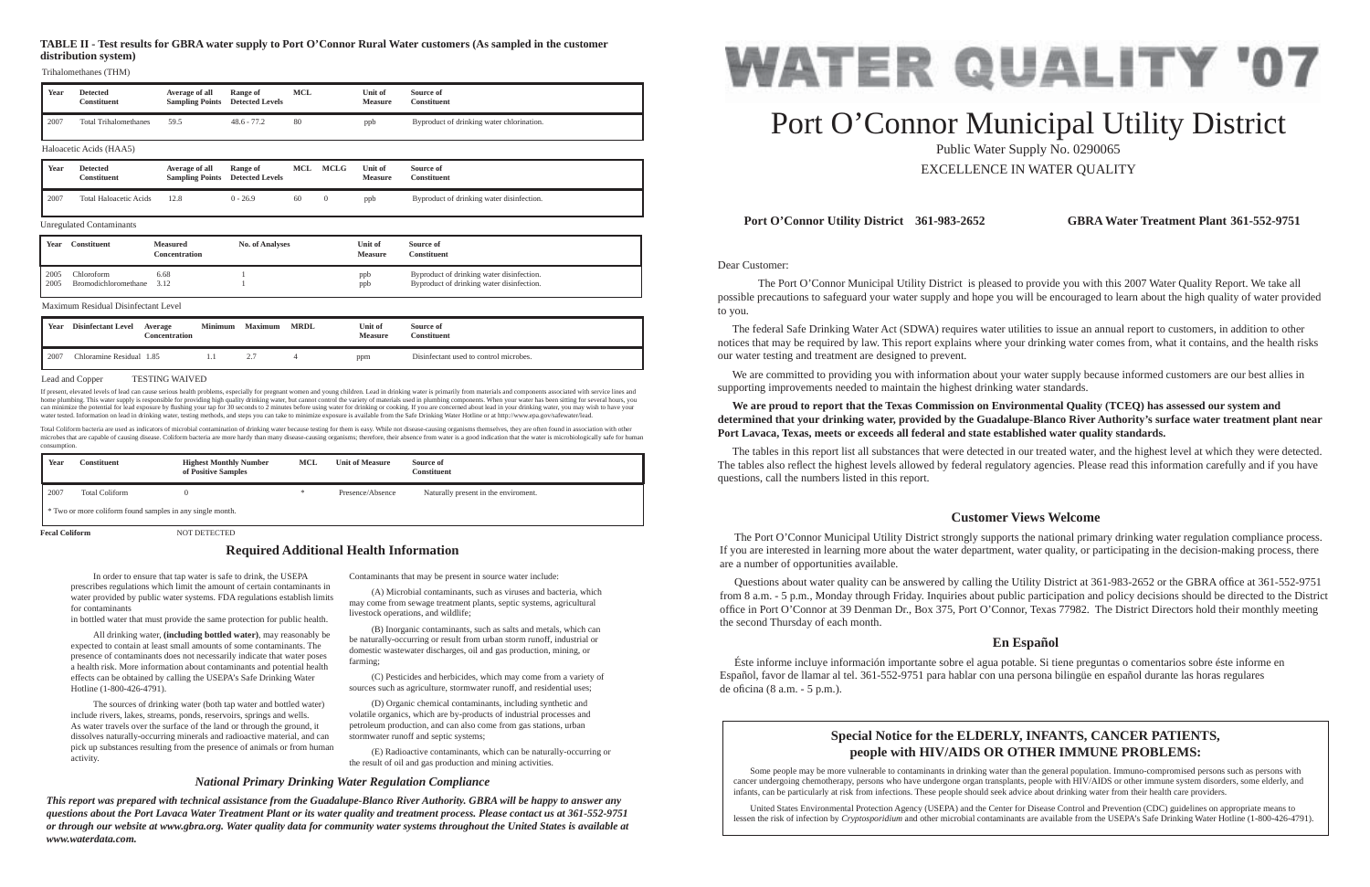Dear Customer:

 The Port O'Connor Municipal Utility District is pleased to provide you with this 2007 Water Quality Report. We take all possible precautions to safeguard your water supply and hope you will be encouraged to learn about the high quality of water provided to you.

 The federal Safe Drinking Water Act (SDWA) requires water utilities to issue an annual report to customers, in addition to other notices that may be required by law. This report explains where your drinking water comes from, what it contains, and the health risks our water testing and treatment are designed to prevent.

 We are committed to providing you with information about your water supply because informed customers are our best allies in supporting improvements needed to maintain the highest drinking water standards.

**We are proud to report that the Texas Commission on Environmental Quality (TCEQ) has assessed our system and determined that your drinking water, provided by the Guadalupe-Blanco River Authority's surface water treatment plant near** 

# **Port Lavaca, Texas, meets or exceeds all federal and state established water quality standards.**

Questions about water quality can be answered by calling the Utility District at 361-983-2652 or the GBRA office at 361-552-9751 from 8 a.m. - 5 p.m., Monday through Friday. Inquiries about public participation and policy decisions should be directed to the District office in Port O'Connor at 39 Denman Dr., Box 375, Port O'Connor, Texas 77982. The District Directors hold their monthly meeting the second Thursday of each month.

 Éste informe incluye información importante sobre el agua potable. Si tiene preguntas o comentarios sobre éste informe en Español, favor de llamar al tel. 361-552-9751 para hablar con una persona bilingüe en español durante las horas regulares de oficina (8 a.m.  $-5$  p.m.).

The tables in this report list all substances that were detected in our treated water, and the highest level at which they were detected. The tables also reflect the highest levels allowed by federal regulatory agencies. Please read this information carefully and if you have questions, call the numbers listed in this report.

# **Port O'Connor Utility District 361-983-2652 GBRA Water Treatment Plant 361-552-9751**

# **Customer Views Welcome**

 The Port O'Connor Municipal Utility District strongly supports the national primary drinking water regulation compliance process. If you are interested in learning more about the water department, water quality, or participating in the decision-making process, there are a number of opportunities available.

# **En Español**

 In order to ensure that tap water is safe to drink, the USEPA prescribes regulations which limit the amount of certain contaminants in water provided by public water systems. FDA regulations establish limits for contaminants

in bottled water that must provide the same protection for public health.

 All drinking water, **(including bottled water)**, may reasonably be expected to contain at least small amounts of some contaminants. The presence of contaminants does not necessarily indicate that water poses a health risk. More information about contaminants and potential health effects can be obtained by calling the USEPA's Safe Drinking Water Hotline (1-800-426-4791).

If present, elevated levels of lead can cause serious health problems, especially for pregnant women and young children. Lead in drinking water is primarily from materials and components associated with service lines and home plumbing. This water supply is responsible for providing high quality drinking water, but cannot control the variety of materials used in plumbing components. When your water has been sitting for several hours, you<br>ca water tested. Information on lead in drinking water, testing methods, and steps you can take to minimize exposure is available from the Safe Drinking Water Hotline or at http://www.epa.gov/safewater/lead.

 The sources of drinking water (both tap water and bottled water) include rivers, lakes, streams, ponds, reservoirs, springs and wells. As water travels over the surface of the land or through the ground, it dissolves naturally-occurring minerals and radioactive material, and can pick up substances resulting from the presence of animals or from human activity.

Contaminants that may be present in source water include:

 (A) Microbial contaminants, such as viruses and bacteria, which may come from sewage treatment plants, septic systems, agricultural livestock operations, and wildlife;

 (B) Inorganic contaminants, such as salts and metals, which can be naturally-occurring or result from urban storm runoff, industrial or domestic wastewater discharges, oil and gas production, mining, or farming;

 (C) Pesticides and herbicides, which may come from a variety of sources such as agriculture, stormwater runoff, and residential uses;

 (D) Organic chemical contaminants, including synthetic and volatile organics, which are by-products of industrial processes and petroleum production, and can also come from gas stations, urban stormwater runoff and septic systems;

 (E) Radioactive contaminants, which can be naturally-occurring or the result of oil and gas production and mining activities.

# **Required Additional Health Information**

# *National Primary Drinking Water Regulation Compliance*

*This report was prepared with technical assistance from the Guadalupe-Blanco River Authority. GBRA will be happy to answer any questions about the Port Lavaca Water Treatment Plant or its water quality and treatment process. Please contact us at 361-552-9751 or through our website at www.gbra.org. Water quality data for community water systems throughout the United States is available at www.waterdata.com.*

# Port O'Connor Municipal Utility District Public Water Supply No. 0290065 EXCELLENCE IN WATER QUALITY

# **Special Notice for the ELDERLY, INFANTS, CANCER PATIENTS, people with HIV/AIDS OR OTHER IMMUNE PROBLEMS:**

Some people may be more vulnerable to contaminants in drinking water than the general population. Immuno-compromised persons such as persons with cancer undergoing chemotherapy, persons who have undergone organ transplants, people with HIV/AIDS or other immune system disorders, some elderly, and infants, can be particularly at risk from infections. These people should seek advice about drinking water from their health care providers.

 United States Environmental Protection Agency (USEPA) and the Center for Disease Control and Prevention (CDC) guidelines on appropriate means to lessen the risk of infection by *Cryptosporidium* and other microbial contaminants are available from the USEPA's Safe Drinking Water Hotline (1-800-426-4791).



Total Coliform bacteria are used as indicators of microbial contamination of drinking water because testing for them is easy. While not disease-causing organisms themselves, they are often found in association with other microbes that are capable of causing disease. Coliform bacteria are more hardy than many disease-causing organisms; therefore, their absence from water is a good indication that the water is microbiologically safe for huma consumption.

| Year | Constituent                                               | <b>Highest Monthly Number</b><br>of Positive Samples | <b>MCL</b> | <b>Unit of Measure</b> | Source of<br><b>Constituent</b>      |  |  |  |  |  |
|------|-----------------------------------------------------------|------------------------------------------------------|------------|------------------------|--------------------------------------|--|--|--|--|--|
| 2007 | <b>Total Coliform</b>                                     |                                                      |            | Presence/Absence       | Naturally present in the enviroment. |  |  |  |  |  |
|      | * Two or more coliform found samples in any single month. |                                                      |            |                        |                                      |  |  |  |  |  |

**Fecal Coliform NOT DETECTED** 

### Lead and Copper TESTING WAIVED

| Year | <b>Disinfectant Level</b> | Average<br>Concentration | <b>Minimum</b> | <b>Maximum</b> | <b>MRDL</b> | Unit of<br><b>Measure</b> | Source of<br>Constituent               |
|------|---------------------------|--------------------------|----------------|----------------|-------------|---------------------------|----------------------------------------|
| 2007 | Chloramine Residual 1.85  |                          |                | <u>.</u>       |             | ppm                       | Disinfectant used to control microbes. |

### Maximum Residual Disinfectant Level

| Year | <b>Detected</b><br>Constituent | Average of all<br><b>Sampling Points</b> | Range of<br><b>Detected Levels</b> | <b>MCL</b> | <b>MCLG</b> | Unit of<br><b>Measure</b> | Source of<br><b>Constituent</b>           |
|------|--------------------------------|------------------------------------------|------------------------------------|------------|-------------|---------------------------|-------------------------------------------|
| 2007 | <b>Total Haloacetic Acids</b>  | 12.8                                     | $0 - 26.9$                         | 60         |             | ppb                       | Byproduct of drinking water disinfection. |

# **TABLE II - Test results for GBRA water supply to Port O'Connor Rural Water customers (As sampled in the customer distribution system)**

| Year | <b>Detected</b><br><b>Constituent</b> | Average of all<br><b>Sampling Points</b> | Range of<br><b>Detected Levels</b> | MCL | Unit of<br><b>Measure</b> | Source of<br><b>Constituent</b>           |  |  |  |
|------|---------------------------------------|------------------------------------------|------------------------------------|-----|---------------------------|-------------------------------------------|--|--|--|
| 2007 | <b>Total Trihalomethanes</b>          | 59.5                                     | $48.6 - 77.2$                      | 80  | ppb                       | Byproduct of drinking water chlorination. |  |  |  |
|      | Haloacetic Acids (HAA5)               |                                          |                                    |     |                           |                                           |  |  |  |

Trihalomethanes (THM)

| Year | Constituent          | <b>Measured</b><br>Concentration | <b>No. of Analyses</b> | Unit of<br><b>Measure</b> | Source of<br>Constituent                  |
|------|----------------------|----------------------------------|------------------------|---------------------------|-------------------------------------------|
| 2005 | Chloroform           | 6.68                             |                        | ppb                       | Byproduct of drinking water disinfection. |
| 2005 | Bromodichloromethane | 3.12                             |                        | ppb                       | Byproduct of drinking water disinfection. |

#### Unregulated Contaminants